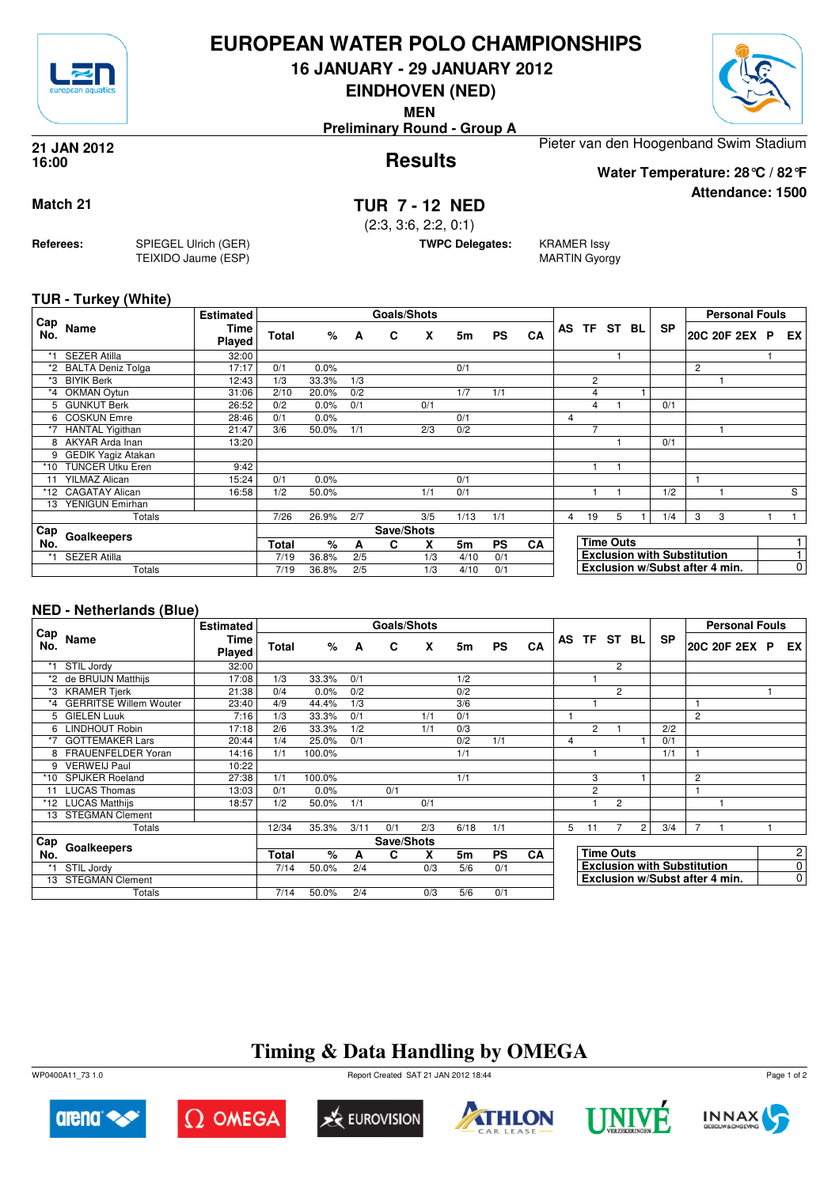

## **EUROPEAN WATER POLO CHAMPIONSHIPS**

**16 JANUARY - 29 JANUARY 2012**

**EINDHOVEN (NED)**

**MEN**

**Preliminary Round - Group A**



**Attendance: 1500**

**Results 21 JAN 2012 16:00**

Pieter van den Hoogenband Swim Stadium **Water Temperature: 28°C / 82°F**

## **Match 21 TUR 7 - 12 NED**

(2:3, 3:6, 2:2, 0:1)

**TWPC Delegates:** KRAMER Issy

MARTIN Gyorgy

**TUR - Turkey (White)**

**Referees:** SPIEGEL Ulrich (GER)

TEIXIDO Jaume (ESP)

|            |                           | <b>Estimated</b> |              |       |     | Goals/Shots |     |      |           |           |   |                |                  |                                    |                | <b>Personal Fouls</b>          |                |
|------------|---------------------------|------------------|--------------|-------|-----|-------------|-----|------|-----------|-----------|---|----------------|------------------|------------------------------------|----------------|--------------------------------|----------------|
| Cap<br>No. | Name                      | Time<br>Played   | Total        | %     | A   | C           | X   | 5m   | <b>PS</b> | CA        |   |                | AS TF ST BL      | <b>SP</b>                          |                | 20C 20F 2EX P                  | EX I           |
| $*1$       | <b>SEZER Atilla</b>       | 32:00            |              |       |     |             |     |      |           |           |   |                |                  |                                    |                |                                |                |
|            | <b>BALTA Deniz Tolga</b>  | 17:17            | 0/1          | 0.0%  |     |             |     | 0/1  |           |           |   |                |                  |                                    | $\overline{c}$ |                                |                |
| *3         | <b>BIYIK Berk</b>         | 12:43            | 1/3          | 33.3% | 1/3 |             |     |      |           |           |   | $\overline{2}$ |                  |                                    |                |                                |                |
|            | *4 OKMAN Oytun            | 31:06            | 2/10         | 20.0% | 0/2 |             |     | 1/7  | 1/1       |           |   | 4              |                  |                                    |                |                                |                |
|            | 5 GUNKUT Berk             | 26:52            | 0/2          | 0.0%  | 0/1 |             | 0/1 |      |           |           |   | 4              |                  | 0/1                                |                |                                |                |
|            | 6 COSKUN Emre             | 28:46            | 0/1          | 0.0%  |     |             |     | 0/1  |           |           | 4 |                |                  |                                    |                |                                |                |
| $*7$       | <b>HANTAL Yigithan</b>    | 21:47            | 3/6          | 50.0% | 1/1 |             | 2/3 | 0/2  |           |           |   | 7              |                  |                                    |                |                                |                |
|            | 8 AKYAR Arda Inan         | 13:20            |              |       |     |             |     |      |           |           |   |                |                  | 0/1                                |                |                                |                |
| 9          | <b>GEDIK Yagiz Atakan</b> |                  |              |       |     |             |     |      |           |           |   |                |                  |                                    |                |                                |                |
| $*10$      | <b>TUNCER Utku Eren</b>   | 9:42             |              |       |     |             |     |      |           |           |   |                |                  |                                    |                |                                |                |
| 11         | <b>YILMAZ Alican</b>      | 15:24            | 0/1          | 0.0%  |     |             |     | 0/1  |           |           |   |                |                  |                                    |                |                                |                |
|            | *12 CAGATAY Alican        | 16:58            | 1/2          | 50.0% |     |             | 1/1 | 0/1  |           |           |   |                |                  | 1/2                                |                |                                | S              |
| 13         | YENIGUN Emirhan           |                  |              |       |     |             |     |      |           |           |   |                |                  |                                    |                |                                |                |
|            | Totals                    |                  | 7/26         | 26.9% | 2/7 |             | 3/5 | 1/13 | 1/1       |           | 4 | 19             | 5                | 1/4                                | 3              | 3                              |                |
| Cap        |                           |                  |              |       |     | Save/Shots  |     |      |           |           |   |                |                  |                                    |                |                                |                |
| No.        | Goalkeepers               |                  | <b>Total</b> | %     | А   | C           | X   | 5m   | <b>PS</b> | <b>CA</b> |   |                | <b>Time Outs</b> |                                    |                |                                |                |
| *1         | <b>SEZER Atilla</b>       |                  | 7/19         | 36.8% | 2/5 |             | 1/3 | 4/10 | 0/1       |           |   |                |                  | <b>Exclusion with Substitution</b> |                |                                |                |
|            | Totals                    |                  | 7/19         | 36.8% | 2/5 |             | 1/3 | 4/10 | 0/1       |           |   |                |                  |                                    |                | Exclusion w/Subst after 4 min. | $\overline{0}$ |

### **NED - Netherlands (Blue)**

|            |                           | <b>Estimated</b>      |              |        |      | Goals/Shots |     |      |           |           |   |                                    |                |                |           |                | <b>Personal Fouls</b>          |                |                |
|------------|---------------------------|-----------------------|--------------|--------|------|-------------|-----|------|-----------|-----------|---|------------------------------------|----------------|----------------|-----------|----------------|--------------------------------|----------------|----------------|
| Cap<br>No. | Name                      | <b>Time</b><br>Played | <b>Total</b> | %      | A    | C           | X   | 5m   | <b>PS</b> | CA        |   |                                    | AS TF ST BL    |                | <b>SP</b> |                | 20C 20F 2EX P                  |                | EX I           |
|            | STIL Jordy                | 32:00                 |              |        |      |             |     |      |           |           |   |                                    | $\overline{2}$ |                |           |                |                                |                |                |
| *2         | de BRUIJN Matthijs        | 17:08                 | 1/3          | 33.3%  | 0/1  |             |     | 1/2  |           |           |   |                                    |                |                |           |                |                                |                |                |
|            | *3 KRAMER Tjerk           | 21:38                 | 0/4          | 0.0%   | 0/2  |             |     | 0/2  |           |           |   |                                    | $\overline{c}$ |                |           |                |                                |                |                |
|            | *4 GERRITSE Willem Wouter | 23:40                 | 4/9          | 44.4%  | 1/3  |             |     | 3/6  |           |           |   |                                    |                |                |           | 1              |                                |                |                |
| 5          | <b>GIELEN Luuk</b>        | 7:16                  | 1/3          | 33.3%  | 0/1  |             | 1/1 | 0/1  |           |           |   |                                    |                |                |           | $\overline{c}$ |                                |                |                |
|            | 6 LINDHOUT Robin          | 17:18                 | 2/6          | 33.3%  | 1/2  |             | 1/1 | 0/3  |           |           |   | $\overline{2}$                     |                |                | 2/2       |                |                                |                |                |
|            | <b>GOTTEMAKER Lars</b>    | 20:44                 | 1/4          | 25.0%  | 0/1  |             |     | 0/2  | 1/1       |           | 4 |                                    |                |                | 0/1       |                |                                |                |                |
|            | 8 FRAUENFELDER Yoran      | 14:16                 | 1/1          | 100.0% |      |             |     | 1/1  |           |           |   |                                    |                |                | 1/1       |                |                                |                |                |
| 9          | <b>VERWEIJ Paul</b>       | 10:22                 |              |        |      |             |     |      |           |           |   |                                    |                |                |           |                |                                |                |                |
| *10        | <b>SPIJKER Roeland</b>    | 27:38                 | 1/1          | 100.0% |      |             |     | 1/1  |           |           |   | 3                                  |                |                |           | 2              |                                |                |                |
| 11         | <b>LUCAS Thomas</b>       | 13:03                 | 0/1          | 0.0%   |      | 0/1         |     |      |           |           |   | $\overline{c}$                     |                |                |           |                |                                |                |                |
|            | *12 LUCAS Matthijs        | 18:57                 | 1/2          | 50.0%  | 1/1  |             | 0/1 |      |           |           |   |                                    | $\overline{2}$ |                |           |                |                                |                |                |
|            | 13 STEGMAN Clement        |                       |              |        |      |             |     |      |           |           |   |                                    |                |                |           |                |                                |                |                |
|            | Totals                    |                       | 12/34        | 35.3%  | 3/11 | 0/1         | 2/3 | 6/18 | 1/1       |           | 5 | 11                                 |                | $\overline{2}$ | 3/4       | 7              |                                |                |                |
| Cap        |                           |                       |              |        |      | Save/Shots  |     |      |           |           |   |                                    |                |                |           |                |                                |                |                |
| No.        | Goalkeepers               |                       | Total        | $\%$   | A    | C           | X   | 5m   | <b>PS</b> | <b>CA</b> |   | <b>Time Outs</b>                   |                |                |           |                |                                |                | $\overline{2}$ |
|            | STIL Jordy                |                       | 7/14         | 50.0%  | 2/4  |             | 0/3 | 5/6  | 0/1       |           |   | <b>Exclusion with Substitution</b> |                |                |           |                |                                | $\overline{0}$ |                |
|            | 13 STEGMAN Clement        |                       |              |        |      |             |     |      |           |           |   |                                    |                |                |           |                | Exclusion w/Subst after 4 min. |                | $\overline{0}$ |
|            | Totals                    |                       | 7/14         | 50.0%  | 2/4  |             | 0/3 | 5/6  | 0/1       |           |   |                                    |                |                |           |                |                                |                |                |

# **Timing & Data Handling by OMEGA**

WP0400A11\_73 1.0 Report Created SAT 21 JAN 2012 18:44













Page 1 of 2